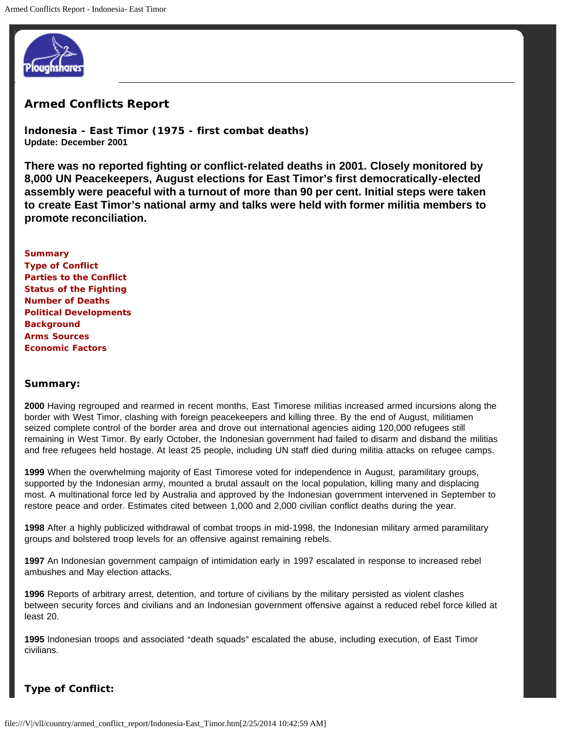

# **Armed Conflicts Report**

**Indonesia - East Timor (1975 - first combat deaths) Update: December 2001**

**There was no reported fighting or conflict-related deaths in 2001. Closely monitored by 8,000 UN Peacekeepers, August elections for East Timor's first democratically-elected assembly were peaceful with a turnout of more than 90 per cent. Initial steps were taken to create East Timor's national army and talks were held with former militia members to promote reconciliation.**

### **Summary**

**Type of Conflict Parties to the Conflict Status of the Fighting Number of Deaths Political Developments Background Arms Sources Economic Factors**

#### **Summary:**

**2000** Having regrouped and rearmed in recent months, East Timorese militias increased armed incursions along the border with West Timor, clashing with foreign peacekeepers and killing three. By the end of August, militiamen seized complete control of the border area and drove out international agencies aiding 120,000 refugees still remaining in West Timor. By early October, the Indonesian government had failed to disarm and disband the militias and free refugees held hostage. At least 25 people, including UN staff died during militia attacks on refugee camps.

**1999** When the overwhelming majority of East Timorese voted for independence in August, paramilitary groups, supported by the Indonesian army, mounted a brutal assault on the local population, killing many and displacing most. A multinational force led by Australia and approved by the Indonesian government intervened in September to restore peace and order. Estimates cited between 1,000 and 2,000 civilian conflict deaths during the year.

**1998** After a highly publicized withdrawal of combat troops in mid-1998, the Indonesian military armed paramilitary groups and bolstered troop levels for an offensive against remaining rebels.

**1997** An Indonesian government campaign of intimidation early in 1997 escalated in response to increased rebel ambushes and May election attacks.

**1996** Reports of arbitrary arrest, detention, and torture of civilians by the military persisted as violent clashes between security forces and civilians and an Indonesian government offensive against a reduced rebel force killed at least 20.

1995 Indonesian troops and associated "death squads" escalated the abuse, including execution, of East Timor civilians.

## **Type of Conflict:**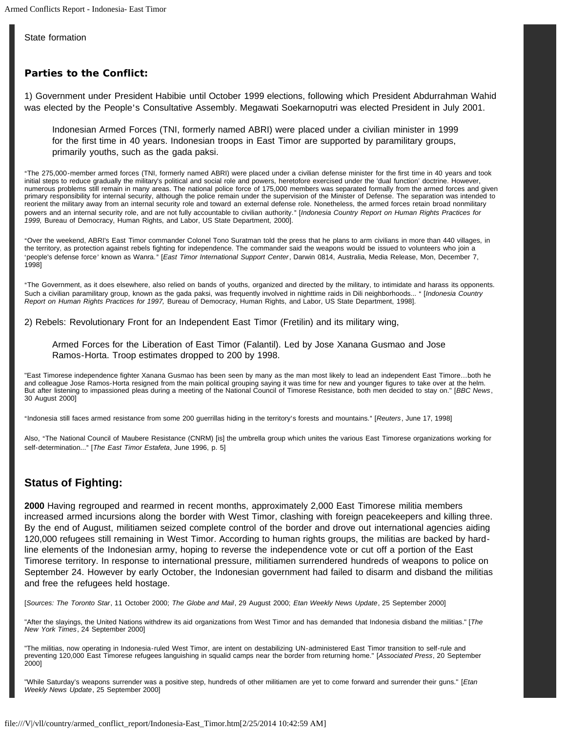State formation

## **Parties to the Conflict:**

1) Government under President Habibie until October 1999 elections, following which President Abdurrahman Wahid was elected by the People's Consultative Assembly. Megawati Soekarnoputri was elected President in July 2001.

Indonesian Armed Forces (TNI, formerly named ABRI) were placed under a civilian minister in 1999 for the first time in 40 years. Indonesian troops in East Timor are supported by paramilitary groups, primarily youths, such as the gada paksi.

AThe 275,000-member armed forces (TNI, formerly named ABRI) were placed under a civilian defense minister for the first time in 40 years and took initial steps to reduce gradually the military's political and social role and powers, heretofore exercised under the 'dual function' doctrine. However, numerous problems still remain in many areas. The national police force of 175,000 members was separated formally from the armed forces and given primary responsibility for internal security, although the police remain under the supervision of the Minister of Defense. The separation was intended to reorient the military away from an internal security role and toward an external defense role. Nonetheless, the armed forces retain broad nonmilitary powers and an internal security role, and are not fully accountable to civilian authority." [Indonesia Country Report on Human Rights Practices for *1999,* Bureau of Democracy, Human Rights, and Labor, US State Department, 2000].

AOver the weekend, ABRI's East Timor commander Colonel Tono Suratman told the press that he plans to arm civilians in more than 440 villages, in the territory, as protection against rebels fighting for independence. The commander said the weapons would be issued to volunteers who join a 'people's defense force' known as Wanra." [*East Timor International Support Center*, Darwin 0814, Australia, Media Release, Mon, December 7, 1998]

AThe Government, as it does elsewhere, also relied on bands of youths, organized and directed by the military, to intimidate and harass its opponents. Such a civilian paramilitary group, known as the gada paksi, was frequently involved in nighttime raids in Dili neighborhoods... " [Indonesia Country *Report on Human Rights Practices for 1997,* Bureau of Democracy, Human Rights, and Labor, US State Department, 1998].

2) Rebels: Revolutionary Front for an Independent East Timor (Fretilin) and its military wing,

Armed Forces for the Liberation of East Timor (Falantil). Led by Jose Xanana Gusmao and Jose Ramos-Horta. Troop estimates dropped to 200 by 1998.

"East Timorese independence fighter Xanana Gusmao has been seen by many as the man most likely to lead an independent East Timore…both he and colleague Jose Ramos-Horta resigned from the main political grouping saying it was time for new and younger figures to take over at the helm. But after listening to impassioned pleas during a meeting of the National Council of Timorese Resistance, both men decided to stay on." [*BBC News*, 30 August 2000]

<sup>4</sup>Indonesia still faces armed resistance from some 200 guerrillas hiding in the territory's forests and mountains." [*Reuters*, June 17, 1998]

Also, "The National Council of Maubere Resistance (CNRM) [is] the umbrella group which unites the various East Timorese organizations working for self-determination..." [The East Timor Estafeta, June 1996, p. 5]

# **Status of Fighting:**

**2000** Having regrouped and rearmed in recent months, approximately 2,000 East Timorese militia members increased armed incursions along the border with West Timor, clashing with foreign peacekeepers and killing three. By the end of August, militiamen seized complete control of the border and drove out international agencies aiding 120,000 refugees still remaining in West Timor. According to human rights groups, the militias are backed by hardline elements of the Indonesian army, hoping to reverse the independence vote or cut off a portion of the East Timorese territory. In response to international pressure, militiamen surrendered hundreds of weapons to police on September 24. However by early October, the Indonesian government had failed to disarm and disband the militias and free the refugees held hostage.

[*Sources: The Toronto Star*, 11 October 2000; *The Globe and Mail*, 29 August 2000; *Etan Weekly News Update*, 25 September 2000]

"After the slayings, the United Nations withdrew its aid organizations from West Timor and has demanded that Indonesia disband the militias." [*The New York Times*, 24 September 2000]

"The militias, now operating in Indonesia-ruled West Timor, are intent on destabilizing UN-administered East Timor transition to self-rule and preventing 120,000 East Timorese refugees languishing in squalid camps near the border from returning home." [*Associated Press*, 20 September 2000]

"While Saturday's weapons surrender was a positive step, hundreds of other militiamen are yet to come forward and surrender their guns." [*Etan Weekly News Update*, 25 September 2000]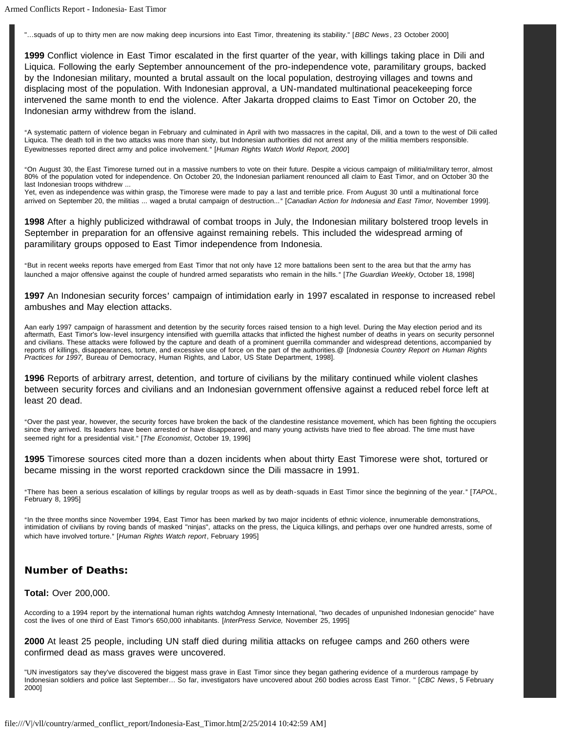"…squads of up to thirty men are now making deep incursions into East Timor, threatening its stability." [*BBC News*, 23 October 2000]

**1999** Conflict violence in East Timor escalated in the first quarter of the year, with killings taking place in Dili and Liquica. Following the early September announcement of the pro-independence vote, paramilitary groups, backed by the Indonesian military, mounted a brutal assault on the local population, destroying villages and towns and displacing most of the population. With Indonesian approval, a UN-mandated multinational peacekeeping force intervened the same month to end the violence. After Jakarta dropped claims to East Timor on October 20, the Indonesian army withdrew from the island.

AA systematic pattern of violence began in February and culminated in April with two massacres in the capital, Dili, and a town to the west of Dili called Liquica. The death toll in the two attacks was more than sixty, but Indonesian authorities did not arrest any of the militia members responsible. Eyewitnesses reported direct army and police involvement." [Human Rights Watch World Report, 2000]

AOn August 30, the East Timorese turned out in a massive numbers to vote on their future. Despite a vicious campaign of militia/military terror, almost 80% of the population voted for independence. On October 20, the Indonesian parliament renounced all claim to East Timor, and on October 30 the last Indonesian troops withdrew ...

Yet, even as independence was within grasp, the Timorese were made to pay a last and terrible price. From August 30 until a multinational force arrived on September 20, the militias ... waged a brutal campaign of destruction..." [Canadian Action for Indonesia and East Timor, November 1999].

**1998** After a highly publicized withdrawal of combat troops in July, the Indonesian military bolstered troop levels in September in preparation for an offensive against remaining rebels. This included the widespread arming of paramilitary groups opposed to East Timor independence from Indonesia.

"But in recent weeks reports have emerged from East Timor that not only have 12 more battalions been sent to the area but that the army has launched a major offensive against the couple of hundred armed separatists who remain in the hills." [The Guardian Weekly, October 18, 1998]

**1997** An Indonesian security forces' campaign of intimidation early in 1997 escalated in response to increased rebel ambushes and May election attacks.

Aan early 1997 campaign of harassment and detention by the security forces raised tension to a high level. During the May election period and its aftermath, East Timor's low-level insurgency intensified with guerrilla attacks that inflicted the highest number of deaths in years on security personnel and civilians. These attacks were followed by the capture and death of a prominent guerrilla commander and widespread detentions, accompanied by reports of killings, disappearances, torture, and excessive use of force on the part of the authorities.@ [*Indonesia Country Report on Human Rights Practices for 1997,* Bureau of Democracy, Human Rights, and Labor, US State Department, 1998].

**1996** Reports of arbitrary arrest, detention, and torture of civilians by the military continued while violent clashes between security forces and civilians and an Indonesian government offensive against a reduced rebel force left at least 20 dead.

AOver the past year, however, the security forces have broken the back of the clandestine resistance movement, which has been fighting the occupiers since they arrived. Its leaders have been arrested or have disappeared, and many young activists have tried to flee abroad. The time must have seemed right for a presidential visit." [*The Economist*, October 19, 1996]

**1995** Timorese sources cited more than a dozen incidents when about thirty East Timorese were shot, tortured or became missing in the worst reported crackdown since the Dili massacre in 1991.

"There has been a serious escalation of killings by regular troops as well as by death-squads in East Timor since the beginning of the year." [TAPOL, February 8, 1995]

"In the three months since November 1994, East Timor has been marked by two major incidents of ethnic violence, innumerable demonstrations, intimidation of civilians by roving bands of masked "ninjas", attacks on the press, the Liquica killings, and perhaps over one hundred arrests, some of which have involved torture." [*Human Rights Watch report*, February 1995]

## **Number of Deaths:**

#### **Total:** Over 200,000.

According to a 1994 report by the international human rights watchdog Amnesty International, ''two decades of unpunished Indonesian genocide'' have cost the lives of one third of East Timor's 650,000 inhabitants. [*InterPress Service,* November 25, 1995]

**2000** At least 25 people, including UN staff died during militia attacks on refugee camps and 260 others were confirmed dead as mass graves were uncovered.

"UN investigators say they've discovered the biggest mass grave in East Timor since they began gathering evidence of a murderous rampage by Indonesian soldiers and police last September… So far, investigators have uncovered about 260 bodies across East Timor. " [*CBC News*, 5 February 2000]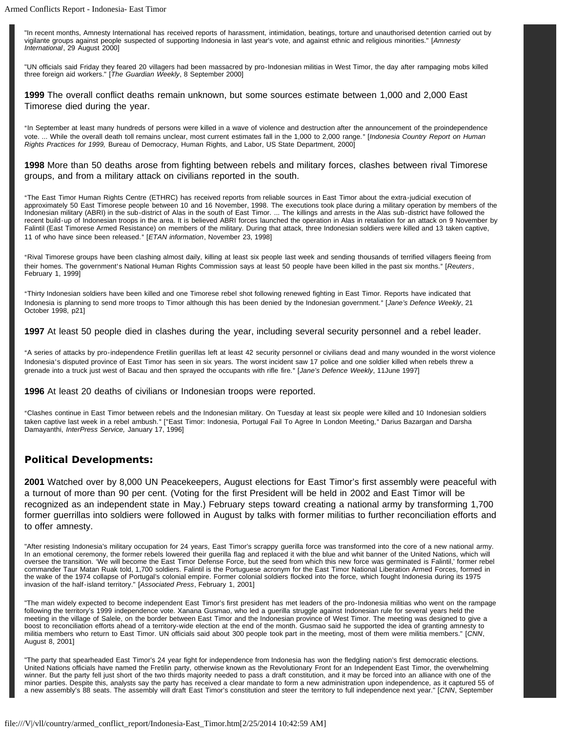"In recent months, Amnesty International has received reports of harassment, intimidation, beatings, torture and unauthorised detention carried out by vigilante groups against people suspected of supporting Indonesia in last year's vote, and against ethnic and religious minorities." [*Amnesty International*, 29 August 2000]

"UN officials said Friday they feared 20 villagers had been massacred by pro-Indonesian militias in West Timor, the day after rampaging mobs killed three foreign aid workers." [*The Guardian Weekly*, 8 September 2000]

**1999** The overall conflict deaths remain unknown, but some sources estimate between 1,000 and 2,000 East Timorese died during the year.

AIn September at least many hundreds of persons were killed in a wave of violence and destruction after the announcement of the proindependence vote. ... While the overall death toll remains unclear, most current estimates fall in the 1,000 to 2,000 range." [Indonesia Country Report on Human *Rights Practices for 1999,* Bureau of Democracy, Human Rights, and Labor, US State Department, 2000]

**1998** More than 50 deaths arose from fighting between rebels and military forces, clashes between rival Timorese groups, and from a military attack on civilians reported in the south.

AThe East Timor Human Rights Centre (ETHRC) has received reports from reliable sources in East Timor about the extra-judicial execution of approximately 50 East Timorese people between 10 and 16 November, 1998. The executions took place during a military operation by members of the Indonesian military (ABRI) in the sub-district of Alas in the south of East Timor. ... The killings and arrests in the Alas sub-district have followed the recent build-up of Indonesian troops in the area. It is believed ABRI forces launched the operation in Alas in retaliation for an attack on 9 November by Falintil (East Timorese Armed Resistance) on members of the military. During that attack, three Indonesian soldiers were killed and 13 taken captive, 11 of who have since been released." [*ETAN information*, November 23, 1998]

"Rival Timorese groups have been clashing almost daily, killing at least six people last week and sending thousands of terrified villagers fleeing from their homes. The government's National Human Rights Commission says at least 50 people have been killed in the past six months." [Reuters, February 1, 1999]

AThirty Indonesian soldiers have been killed and one Timorese rebel shot following renewed fighting in East Timor. Reports have indicated that Indonesia is planning to send more troops to Timor although this has been denied by the Indonesian government." [Jane's Defence Weekly, 21 October 1998, p21]

**1997** At least 50 people died in clashes during the year, including several security personnel and a rebel leader.

AA series of attacks by pro-independence Fretilin guerillas left at least 42 security personnel or civilians dead and many wounded in the worst violence Indonesia's disputed province of East Timor has seen in six years. The worst incident saw 17 police and one soldier killed when rebels threw a grenade into a truck just west of Bacau and then sprayed the occupants with rifle fire." [Jane's Defence Weekly, 11June 1997]

**1996** At least 20 deaths of civilians or Indonesian troops were reported.

AClashes continue in East Timor between rebels and the Indonesian military. On Tuesday at least six people were killed and 10 Indonesian soldiers taken captive last week in a rebel ambush." ["East Timor: Indonesia, Portugal Fail To Agree In London Meeting," Darius Bazargan and Darsha Damayanthi, *InterPress Service,* January 17, 1996]

#### **Political Developments:**

**2001** Watched over by 8,000 UN Peacekeepers, August elections for East Timor's first assembly were peaceful with a turnout of more than 90 per cent. (Voting for the first President will be held in 2002 and East Timor will be recognized as an independent state in May.) February steps toward creating a national army by transforming 1,700 former guerrillas into soldiers were followed in August by talks with former militias to further reconciliation efforts and to offer amnesty.

"After resisting Indonesia's military occupation for 24 years, East Timor's scrappy guerilla force was transformed into the core of a new national army. In an emotional ceremony, the former rebels lowered their guerilla flag and replaced it with the blue and whit banner of the United Nations, which will oversee the transition. 'We will become the East Timor Defense Force, but the seed from which this new force was germinated is Falintil,' former rebel commander Taur Matan Ruak told, 1,700 soldiers. Falintil is the Portuguese acronym for the East Timor National Liberation Armed Forces, formed in the wake of the 1974 collapse of Portugal's colonial empire. Former colonial soldiers flocked into the force, which fought Indonesia during its 1975 invasion of the half-island territory." [*Associated Press*, February 1, 2001]

"The man widely expected to become independent East Timor's first president has met leaders of the pro-Indonesia militias who went on the rampage following the territory's 1999 independence vote. Xanana Gusmao, who led a guerilla struggle against Indonesian rule for several years held the meeting in the village of Salele, on the border between East Timor and the Indonesian province of West Timor. The meeting was designed to give a boost to reconciliation efforts ahead of a territory-wide election at the end of the month. Gusmao said he supported the idea of granting amnesty to militia members who return to East Timor. UN officials said about 300 people took part in the meeting, most of them were militia members." [*CNN*, August 8, 2001]

"The party that spearheaded East Timor's 24 year fight for independence from Indonesia has won the fledgling nation's first democratic elections. United Nations officials have named the Fretilin party, otherwise known as the Revolutionary Front for an Independent East Timor, the overwhelming winner. But the party fell just short of the two thirds majority needed to pass a draft constitution, and it may be forced into an alliance with one of the minor parties. Despite this, analysts say the party has received a clear mandate to form a new administration upon independence, as it captured 55 of a new assembly's 88 seats. The assembly will draft East Timor's constitution and steer the territory to full independence next year." [*CNN*, September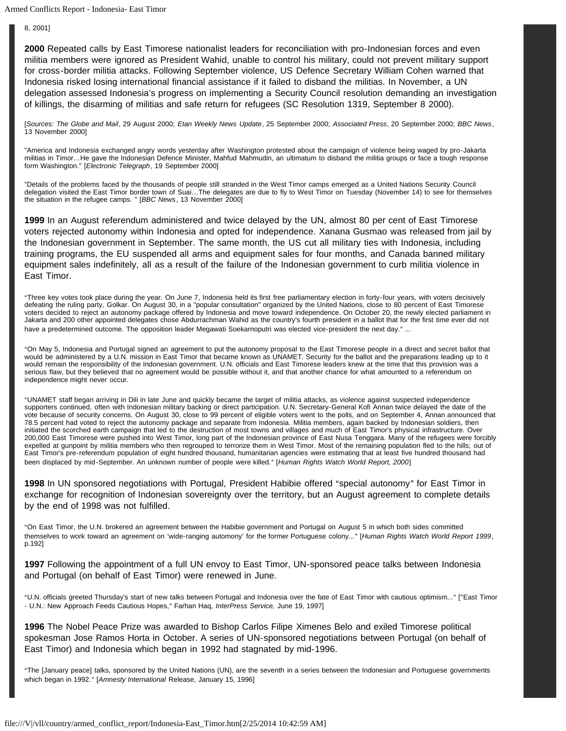Armed Conflicts Report - Indonesia- East Timor

8, 2001]

**2000** Repeated calls by East Timorese nationalist leaders for reconciliation with pro-Indonesian forces and even militia members were ignored as President Wahid, unable to control his military, could not prevent military support for cross-border militia attacks. Following September violence, US Defence Secretary William Cohen warned that Indonesia risked losing international financial assistance if it failed to disband the militias. In November, a UN delegation assessed Indonesia's progress on implementing a Security Council resolution demanding an investigation of killings, the disarming of militias and safe return for refugees (SC Resolution 1319, September 8 2000).

[*Sources: The Globe and Mail*, 29 August 2000; *Etan Weekly News Update*, 25 September 2000; *Associated Press*, 20 September 2000; *BBC News*, 13 November 2000]

"America and Indonesia exchanged angry words yesterday after Washington protested about the campaign of violence being waged by pro-Jakarta militias in Timor…He gave the Indonesian Defence Minister, Mahfud Mahmudin, an ultimatum to disband the militia groups or face a tough response form Washington." [*Electronic Telegraph*, 19 September 2000]

"Details of the problems faced by the thousands of people still stranded in the West Timor camps emerged as a United Nations Security Council delegation visited the East Timor border town of Suai…The delegates are due to fly to West Timor on Tuesday (November 14) to see for themselves the situation in the refugee camps. " [*BBC News*, 13 November 2000]

**1999** In an August referendum administered and twice delayed by the UN, almost 80 per cent of East Timorese voters rejected autonomy within Indonesia and opted for independence. Xanana Gusmao was released from jail by the Indonesian government in September. The same month, the US cut all military ties with Indonesia, including training programs, the EU suspended all arms and equipment sales for four months, and Canada banned military equipment sales indefinitely, all as a result of the failure of the Indonesian government to curb militia violence in East Timor.

AThree key votes took place during the year. On June 7, Indonesia held its first free parliamentary election in forty-four years, with voters decisively defeating the ruling party, Golkar. On August 30, in a "popular consultation" organized by the United Nations, close to 80 percent of East Timorese voters decided to reject an autonomy package offered by Indonesia and move toward independence. On October 20, the newly elected parliament in Jakarta and 200 other appointed delegates chose Abdurrachman Wahid as the country's fourth president in a ballot that for the first time ever did not have a predetermined outcome. The opposition leader Megawati Soekarnoputri was elected vice-president the next day." ...

AOn May 5, Indonesia and Portugal signed an agreement to put the autonomy proposal to the East Timorese people in a direct and secret ballot that would be administered by a U.N. mission in East Timor that became known as UNAMET. Security for the ballot and the preparations leading up to it would remain the responsibility of the Indonesian government. U.N. officials and East Timorese leaders knew at the time that this provision was a serious flaw, but they believed that no agreement would be possible without it, and that another chance for what amounted to a referendum on independence might never occur.

"UNAMET staff began arriving in Dili in late June and quickly became the target of militia attacks, as violence against suspected independence supporters continued, often with Indonesian military backing or direct participation. U.N. Secretary-General Kofi Annan twice delayed the date of the vote because of security concerns. On August 30, close to 99 percent of eligible voters went to the polls, and on September 4, Annan announced that 78.5 percent had voted to reject the autonomy package and separate from Indonesia. Militia members, again backed by Indonesian soldiers, then initiated the scorched earth campaign that led to the destruction of most towns and villages and much of East Timor's physical infrastructure. Over 200,000 East Timorese were pushed into West Timor, long part of the Indonesian province of East Nusa Tenggara. Many of the refugees were forcibly expelled at gunpoint by militia members who then regrouped to terrorize them in West Timor. Most of the remaining population fled to the hills; out of East Timor's pre-referendum population of eight hundred thousand, humanitarian agencies were estimating that at least five hundred thousand had been displaced by mid-September. An unknown number of people were killed." [Human Rights Watch World Report, 2000]

**1998** In UN sponsored negotiations with Portugal, President Habibie offered "special autonomy" for East Timor in exchange for recognition of Indonesian sovereignty over the territory, but an August agreement to complete details by the end of 1998 was not fulfilled.

AOn East Timor, the U.N. brokered an agreement between the Habibie government and Portugal on August 5 in which both sides committed themselves to work toward an agreement on 'wide-ranging automony' for the former Portuguese colony..." [Human Rights Watch World Report 1999, p.192]

**1997** Following the appointment of a full UN envoy to East Timor, UN-sponsored peace talks between Indonesia and Portugal (on behalf of East Timor) were renewed in June.

"U.N. officials greeted Thursday's start of new talks between Portugal and Indonesia over the fate of East Timor with cautious optimism..." ["East Timor - U.N.: New Approach Feeds Cautious Hopes," Farhan Haq, InterPress Service, June 19, 1997]

**1996** The Nobel Peace Prize was awarded to Bishop Carlos Filipe Ximenes Belo and exiled Timorese political spokesman Jose Ramos Horta in October. A series of UN-sponsored negotiations between Portugal (on behalf of East Timor) and Indonesia which began in 1992 had stagnated by mid-1996.

AThe [January peace] talks, sponsored by the United Nations (UN), are the seventh in a series between the Indonesian and Portuguese governments which began in 1992." [Amnesty International Release, January 15, 1996]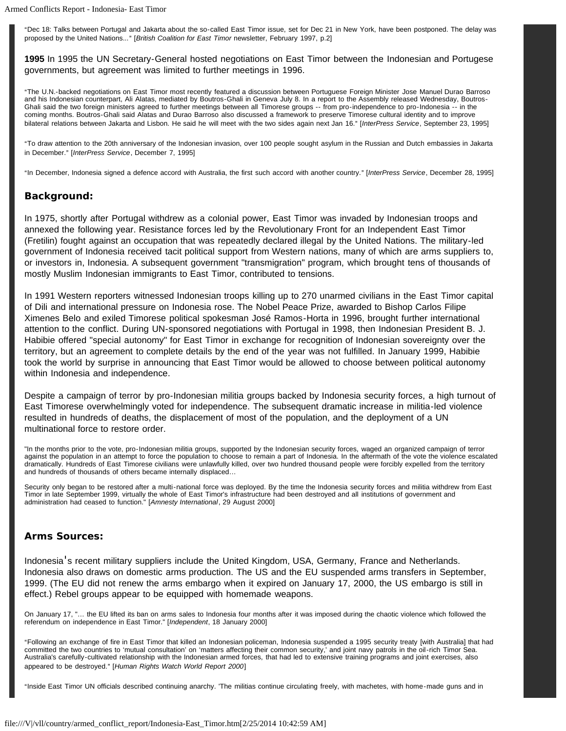Armed Conflicts Report - Indonesia- East Timor

"Dec 18: Talks between Portugal and Jakarta about the so-called East Timor issue, set for Dec 21 in New York, have been postponed. The delay was proposed by the United Nations..." [*British Coalition for East Timor* newsletter, February 1997, p.2]

**1995** In 1995 the UN Secretary-General hosted negotiations on East Timor between the Indonesian and Portugese governments, but agreement was limited to further meetings in 1996.

AThe U.N.-backed negotiations on East Timor most recently featured a discussion between Portuguese Foreign Minister Jose Manuel Durao Barroso and his Indonesian counterpart, Ali Alatas, mediated by Boutros-Ghali in Geneva July 8. In a report to the Assembly released Wednesday, Boutros-Ghali said the two foreign ministers agreed to further meetings between all Timorese groups -- from pro-independence to pro-Indonesia -- in the coming months. Boutros-Ghali said Alatas and Durao Barroso also discussed a framework to preserve Timorese cultural identity and to improve bilateral relations between Jakarta and Lisbon. He said he will meet with the two sides again next Jan 16." [InterPress Service, September 23, 1995]

ATo draw attention to the 20th anniversary of the Indonesian invasion, over 100 people sought asylum in the Russian and Dutch embassies in Jakarta in December." [InterPress Service, December 7, 1995]

<sup>4</sup>In December, Indonesia signed a defence accord with Australia, the first such accord with another country." [InterPress Service, December 28, 1995]

#### **Background:**

In 1975, shortly after Portugal withdrew as a colonial power, East Timor was invaded by Indonesian troops and annexed the following year. Resistance forces led by the Revolutionary Front for an Independent East Timor (Fretilin) fought against an occupation that was repeatedly declared illegal by the United Nations. The military-led government of Indonesia received tacit political support from Western nations, many of which are arms suppliers to, or investors in, Indonesia. A subsequent government "transmigration" program, which brought tens of thousands of mostly Muslim Indonesian immigrants to East Timor, contributed to tensions.

In 1991 Western reporters witnessed Indonesian troops killing up to 270 unarmed civilians in the East Timor capital of Dili and international pressure on Indonesia rose. The Nobel Peace Prize, awarded to Bishop Carlos Filipe Ximenes Belo and exiled Timorese political spokesman José Ramos-Horta in 1996, brought further international attention to the conflict. During UN-sponsored negotiations with Portugal in 1998, then Indonesian President B. J. Habibie offered "special autonomy" for East Timor in exchange for recognition of Indonesian sovereignty over the territory, but an agreement to complete details by the end of the year was not fulfilled. In January 1999, Habibie took the world by surprise in announcing that East Timor would be allowed to choose between political autonomy within Indonesia and independence.

Despite a campaign of terror by pro-Indonesian militia groups backed by Indonesia security forces, a high turnout of East Timorese overwhelmingly voted for independence. The subsequent dramatic increase in militia-led violence resulted in hundreds of deaths, the displacement of most of the population, and the deployment of a UN multinational force to restore order.

"In the months prior to the vote, pro-Indonesian militia groups, supported by the Indonesian security forces, waged an organized campaign of terror against the population in an attempt to force the population to choose to remain a part of Indonesia. In the aftermath of the vote the violence escalated dramatically. Hundreds of East Timorese civilians were unlawfully killed, over two hundred thousand people were forcibly expelled from the territory and hundreds of thousands of others became internally displaced…

Security only began to be restored after a multi-national force was deployed. By the time the Indonesia security forces and militia withdrew from East Timor in late September 1999, virtually the whole of East Timor's infrastructure had been destroyed and all institutions of government and administration had ceased to function." [*Amnesty International*, 29 August 2000]

#### **Arms Sources:**

Indonesia's recent military suppliers include the United Kingdom, USA, Germany, France and Netherlands. Indonesia also draws on domestic arms production. The US and the EU suspended arms transfers in September, 1999. (The EU did not renew the arms embargo when it expired on January 17, 2000, the US embargo is still in effect.) Rebel groups appear to be equipped with homemade weapons.

On January 17, "… the EU lifted its ban on arms sales to Indonesia four months after it was imposed during the chaotic violence which followed the referendum on independence in East Timor." [*Independent*, 18 January 2000]

AFollowing an exchange of fire in East Timor that killed an Indonesian policeman, Indonesia suspended a 1995 security treaty [with Australia] that had committed the two countries to 'mutual consultation' on 'matters affecting their common security,' and joint navy patrols in the oil-rich Timor Sea. Australia's carefully-cultivated relationship with the Indonesian armed forces, that had led to extensive training programs and joint exercises, also appeared to be destroyed." [Human Rights Watch World Report 2000]

"Inside East Timor UN officials described continuing anarchy. 'The militias continue circulating freely, with machetes, with home-made guns and in